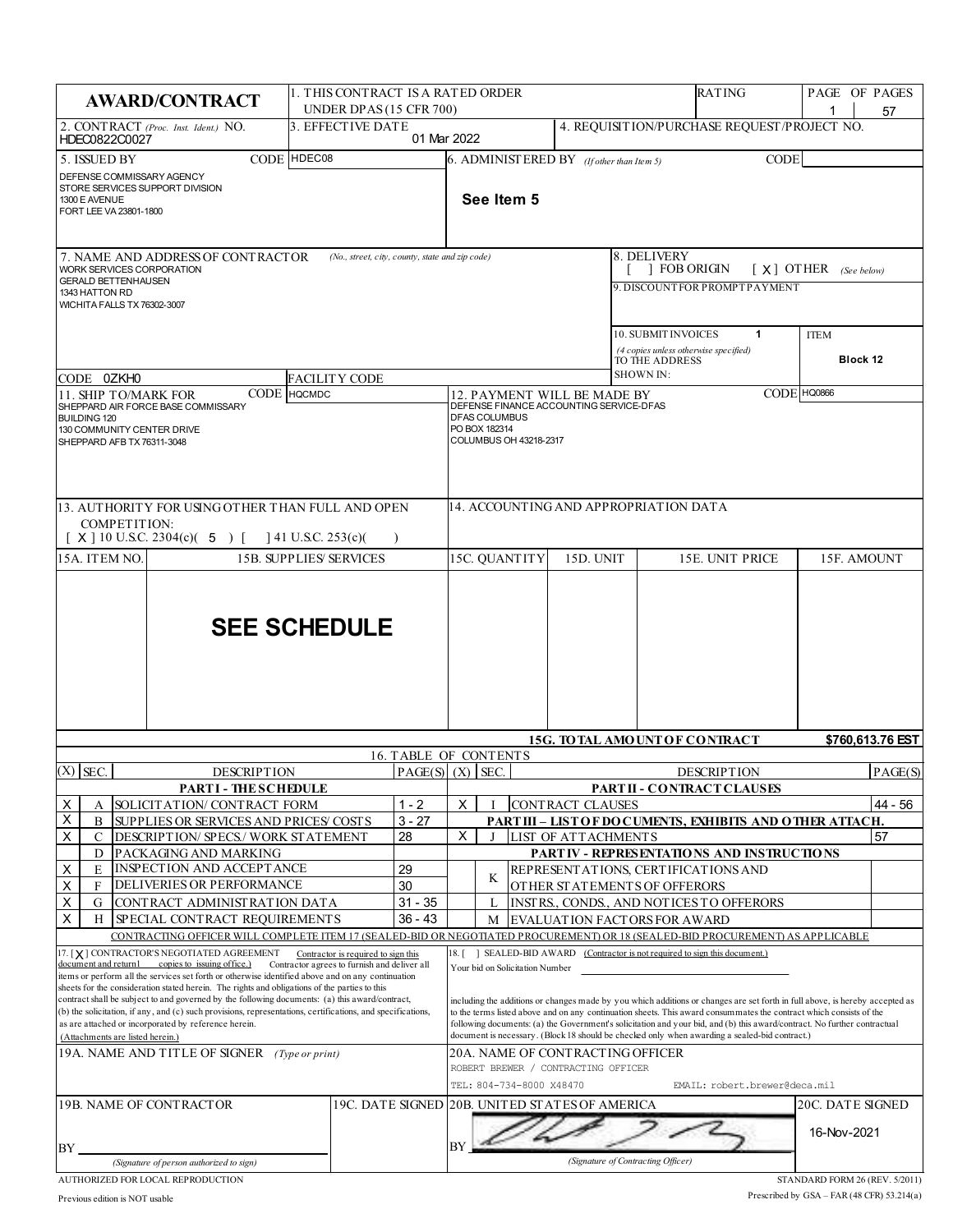| 1. THIS CONTRACT IS A RATED ORDER<br><b>AWARD/CONTRACT</b><br>UNDER DPAS (15 CFR 700)                                                                                                                                                                                                                                                                                                                                                                                                       |                                                 |                     |                                                                             |                                                                                                                                                                                                                                                   | RATING                                                                                                                                                                                                                                                                                                                                                                                                                                                                           |                             | PAGE OF PAGES<br>57 |                                                                                     |                                |          |
|---------------------------------------------------------------------------------------------------------------------------------------------------------------------------------------------------------------------------------------------------------------------------------------------------------------------------------------------------------------------------------------------------------------------------------------------------------------------------------------------|-------------------------------------------------|---------------------|-----------------------------------------------------------------------------|---------------------------------------------------------------------------------------------------------------------------------------------------------------------------------------------------------------------------------------------------|----------------------------------------------------------------------------------------------------------------------------------------------------------------------------------------------------------------------------------------------------------------------------------------------------------------------------------------------------------------------------------------------------------------------------------------------------------------------------------|-----------------------------|---------------------|-------------------------------------------------------------------------------------|--------------------------------|----------|
| 3. EFFECTIVE DATE<br>2. CONTRACT (Proc. Inst. Ident.) NO.<br>01 Mar 2022<br>HDEC0822C0027                                                                                                                                                                                                                                                                                                                                                                                                   |                                                 |                     |                                                                             | 4. REQUISITION/PURCHASE REQUEST/PROJECT NO.                                                                                                                                                                                                       |                                                                                                                                                                                                                                                                                                                                                                                                                                                                                  |                             |                     |                                                                                     |                                |          |
| CODE HDEC08<br>5. ISSUED BY<br>DEFENSE COMMISSARY AGENCY<br>STORE SERVICES SUPPORT DIVISION<br>1300 E AVENUE<br>FORT LEE VA 23801-1800                                                                                                                                                                                                                                                                                                                                                      |                                                 |                     |                                                                             | 6. ADMINIST ERED BY (If other than Item 5)<br><b>CODE</b><br>See Item 5                                                                                                                                                                           |                                                                                                                                                                                                                                                                                                                                                                                                                                                                                  |                             |                     |                                                                                     |                                |          |
| 7. NAME AND ADDRESS OF CONTRACTOR<br><b>WORK SERVICES CORPORATION</b><br><b>GERALD BETTENHAUSEN</b>                                                                                                                                                                                                                                                                                                                                                                                         | (No., street, city, county, state and zip code) |                     | 8. DELIVERY<br>] FOB ORIGIN<br>$[X]$ OTHER (See below)                      |                                                                                                                                                                                                                                                   |                                                                                                                                                                                                                                                                                                                                                                                                                                                                                  |                             |                     |                                                                                     |                                |          |
| 1343 HATTON RD<br>WICHITA FALLS TX 76302-3007                                                                                                                                                                                                                                                                                                                                                                                                                                               |                                                 |                     |                                                                             |                                                                                                                                                                                                                                                   |                                                                                                                                                                                                                                                                                                                                                                                                                                                                                  |                             |                     | 9. DISCOUNTFOR PROMPTPAYMENT                                                        |                                |          |
| CODE 0ZKH0                                                                                                                                                                                                                                                                                                                                                                                                                                                                                  | FACILITY CODE                                   |                     |                                                                             |                                                                                                                                                                                                                                                   |                                                                                                                                                                                                                                                                                                                                                                                                                                                                                  |                             | <b>SHOWN IN:</b>    | 10. SUBMIT INVOICES<br>1<br>(4 copies unless otherwise specified)<br>TO THE ADDRESS | <b>ITEM</b>                    | Block 12 |
| <b>11. SHIP TO/MARK FOR</b>                                                                                                                                                                                                                                                                                                                                                                                                                                                                 | CODE HQCMDC                                     |                     |                                                                             |                                                                                                                                                                                                                                                   |                                                                                                                                                                                                                                                                                                                                                                                                                                                                                  | 12. PAYMENT WILL BE MADE BY |                     |                                                                                     | CODE HQ0866                    |          |
| SHEPPARD AIR FORCE BASE COMMISSARY<br><b>BUILDING 120</b><br>130 COMMUNITY CENTER DRIVE<br>SHEPPARD AFB TX 76311-3048                                                                                                                                                                                                                                                                                                                                                                       |                                                 |                     |                                                                             | DEFENSE FINANCE ACCOUNTING SERVICE-DFAS<br><b>DFAS COLUMBUS</b><br>PO BOX 182314<br>COLUMBUS OH 43218-2317                                                                                                                                        |                                                                                                                                                                                                                                                                                                                                                                                                                                                                                  |                             |                     |                                                                                     |                                |          |
| 13. AUTHORITY FOR USING OTHER THAN FULL AND OPEN<br>COMPETITION:<br>$[X]$ 10 U.S.C. 2304(c)( 5) [<br>$141$ U.S.C. 253(c)(                                                                                                                                                                                                                                                                                                                                                                   |                                                 |                     |                                                                             | 14. ACCOUNTING AND APPROPRIATION DATA                                                                                                                                                                                                             |                                                                                                                                                                                                                                                                                                                                                                                                                                                                                  |                             |                     |                                                                                     |                                |          |
| 15A. ITEM NO.<br><b>15B. SUPPLIES' SERVICES</b>                                                                                                                                                                                                                                                                                                                                                                                                                                             |                                                 |                     | 15C. QUANTITY<br>15D. UNIT<br>15E. UNIT PRICE<br>15F. AMOUNT                |                                                                                                                                                                                                                                                   |                                                                                                                                                                                                                                                                                                                                                                                                                                                                                  |                             |                     |                                                                                     |                                |          |
|                                                                                                                                                                                                                                                                                                                                                                                                                                                                                             | <b>SEE SCHEDULE</b>                             |                     |                                                                             |                                                                                                                                                                                                                                                   |                                                                                                                                                                                                                                                                                                                                                                                                                                                                                  |                             |                     |                                                                                     |                                |          |
|                                                                                                                                                                                                                                                                                                                                                                                                                                                                                             |                                                 |                     | 15G. TO TAL AMOUNT OF CONTRACT<br>\$760,613.76 EST<br>16. TABLE OF CONTENTS |                                                                                                                                                                                                                                                   |                                                                                                                                                                                                                                                                                                                                                                                                                                                                                  |                             |                     |                                                                                     |                                |          |
| $(X)$ SEC.<br><b>DESCRIPTION</b>                                                                                                                                                                                                                                                                                                                                                                                                                                                            |                                                 |                     | PAGE(S)   (X)   SEC.<br><b>DESCRIPTION</b>                                  |                                                                                                                                                                                                                                                   |                                                                                                                                                                                                                                                                                                                                                                                                                                                                                  |                             |                     | PAGE(S)                                                                             |                                |          |
| <b>PARTI - THE SCHEDULE</b>                                                                                                                                                                                                                                                                                                                                                                                                                                                                 |                                                 |                     |                                                                             |                                                                                                                                                                                                                                                   |                                                                                                                                                                                                                                                                                                                                                                                                                                                                                  |                             |                     | PARTII - CONTRACT CLAUSES                                                           |                                |          |
| х<br>SOLICITATION/ CONTRACT FORM<br>А<br>Χ<br>B<br>SUPPLIES OR SERVICES AND PRICES/COSTS                                                                                                                                                                                                                                                                                                                                                                                                    |                                                 | $1 - 2$<br>$3 - 27$ | X.                                                                          |                                                                                                                                                                                                                                                   |                                                                                                                                                                                                                                                                                                                                                                                                                                                                                  | <b>CONTRACT CLAUSES</b>     |                     | PART III - LIST OF DOCUMENTS, EXHIBITS AND OTHER ATTACH.                            |                                | 44 - 56  |
| X<br>DESCRIPTION/ SPECS/ WORK STATEMENT<br>С                                                                                                                                                                                                                                                                                                                                                                                                                                                |                                                 | 28                  | X                                                                           |                                                                                                                                                                                                                                                   |                                                                                                                                                                                                                                                                                                                                                                                                                                                                                  | LIST OF ATTACHMENTS         |                     |                                                                                     |                                | 57       |
| D<br>PACKAGING AND MARKING                                                                                                                                                                                                                                                                                                                                                                                                                                                                  |                                                 |                     |                                                                             |                                                                                                                                                                                                                                                   |                                                                                                                                                                                                                                                                                                                                                                                                                                                                                  |                             |                     | PARTIV - REPRESENTATIONS AND INSTRUCTIONS                                           |                                |          |
| Χ<br>INSPECTION AND ACCEPTANCE<br>Е<br>Χ<br>DELIVERIES OR PERFORMANCE<br>F                                                                                                                                                                                                                                                                                                                                                                                                                  |                                                 | 29<br>30            |                                                                             | K                                                                                                                                                                                                                                                 |                                                                                                                                                                                                                                                                                                                                                                                                                                                                                  |                             |                     | REPRESENT ATIONS, CERTIFICATIONS AND<br>OTHER STATEMENTS OF OFFERORS                |                                |          |
| Χ<br>CONTRACT ADMINISTRATION DATA<br>G                                                                                                                                                                                                                                                                                                                                                                                                                                                      |                                                 | $31 - 35$           |                                                                             |                                                                                                                                                                                                                                                   |                                                                                                                                                                                                                                                                                                                                                                                                                                                                                  |                             |                     | INSTRS., CONDS., AND NOTICES TO OFFERORS                                            |                                |          |
| X<br>SPECIAL CONTRACT REQUIREMENTS<br>H                                                                                                                                                                                                                                                                                                                                                                                                                                                     |                                                 | $36 - 43$           |                                                                             | М                                                                                                                                                                                                                                                 |                                                                                                                                                                                                                                                                                                                                                                                                                                                                                  |                             |                     | <b>EVALUATION FACTORS FOR AWARD</b>                                                 |                                |          |
| 17. [X] CONTRACTOR'S NEGOTIATED AGREEMENT<br>Contractor is required to sign this<br>document and return1 copies to issuing office.)<br>Contractor agrees to furnish and deliver all<br>items or perform all the services set forth or otherwise identified above and on any continuation<br>sheets for the consideration stated herein. The rights and obligations of the parties to this<br>contract shall be subject to and governed by the following documents: (a) this award/contract, |                                                 |                     |                                                                             | CONTRACTING OFFICER WILL COMPLETE ITEM 17 (SEALED-BID OR NEGOTIATED PROCUREMENT) OR 18 (SEALED-BID PROCUREMENT) AS APPLICABLE<br>SEALED-BID AWARD (Contractor is not required to sign this document.)<br>18. J<br>Your bid on Solicitation Number |                                                                                                                                                                                                                                                                                                                                                                                                                                                                                  |                             |                     |                                                                                     |                                |          |
| (b) the solicitation, if any, and (c) such provisions, representations, certifications, and specifications,<br>as are attached or incorporated by reference herein.<br>(Attachments are listed herein.)                                                                                                                                                                                                                                                                                     |                                                 |                     |                                                                             |                                                                                                                                                                                                                                                   | including the additions or changes made by you which additions or changes are set forth in full above, is hereby accepted as<br>to the terms listed above and on any continuation sheets. This award consummates the contract which consists of the<br>following documents: (a) the Government's solicitation and your bid, and (b) this award/contract. No further contractual<br>document is necessary. (Block 18 should be checked only when awarding a sealed-bid contract.) |                             |                     |                                                                                     |                                |          |
| 19A. NAME AND TITLE OF SIGNER (Type or print)                                                                                                                                                                                                                                                                                                                                                                                                                                               |                                                 |                     |                                                                             | 20A. NAME OF CONTRACTING OFFICER<br>ROBERT BREWER / CONTRACTING OFFICER<br>TEL: 804-734-8000 X48470<br>EMAIL: robert.brewer@deca.mil                                                                                                              |                                                                                                                                                                                                                                                                                                                                                                                                                                                                                  |                             |                     |                                                                                     |                                |          |
| 19B. NAME OF CONTRACTOR                                                                                                                                                                                                                                                                                                                                                                                                                                                                     |                                                 |                     |                                                                             | 19C. DATE SIGNED 20B. UNITED STATES OF AMERICA<br>20C. DATE SIGNED                                                                                                                                                                                |                                                                                                                                                                                                                                                                                                                                                                                                                                                                                  |                             |                     |                                                                                     |                                |          |
| BY<br>(Signature of person authorized to sign)                                                                                                                                                                                                                                                                                                                                                                                                                                              |                                                 |                     | ΒY                                                                          |                                                                                                                                                                                                                                                   |                                                                                                                                                                                                                                                                                                                                                                                                                                                                                  |                             |                     | (Signature of Contracting Officer)                                                  | 16-Nov-2021                    |          |
| AUTHORIZED FOR LOCAL REPRODUCTION                                                                                                                                                                                                                                                                                                                                                                                                                                                           |                                                 |                     |                                                                             |                                                                                                                                                                                                                                                   |                                                                                                                                                                                                                                                                                                                                                                                                                                                                                  |                             |                     |                                                                                     | STANDARD FORM 26 (REV. 5/2011) |          |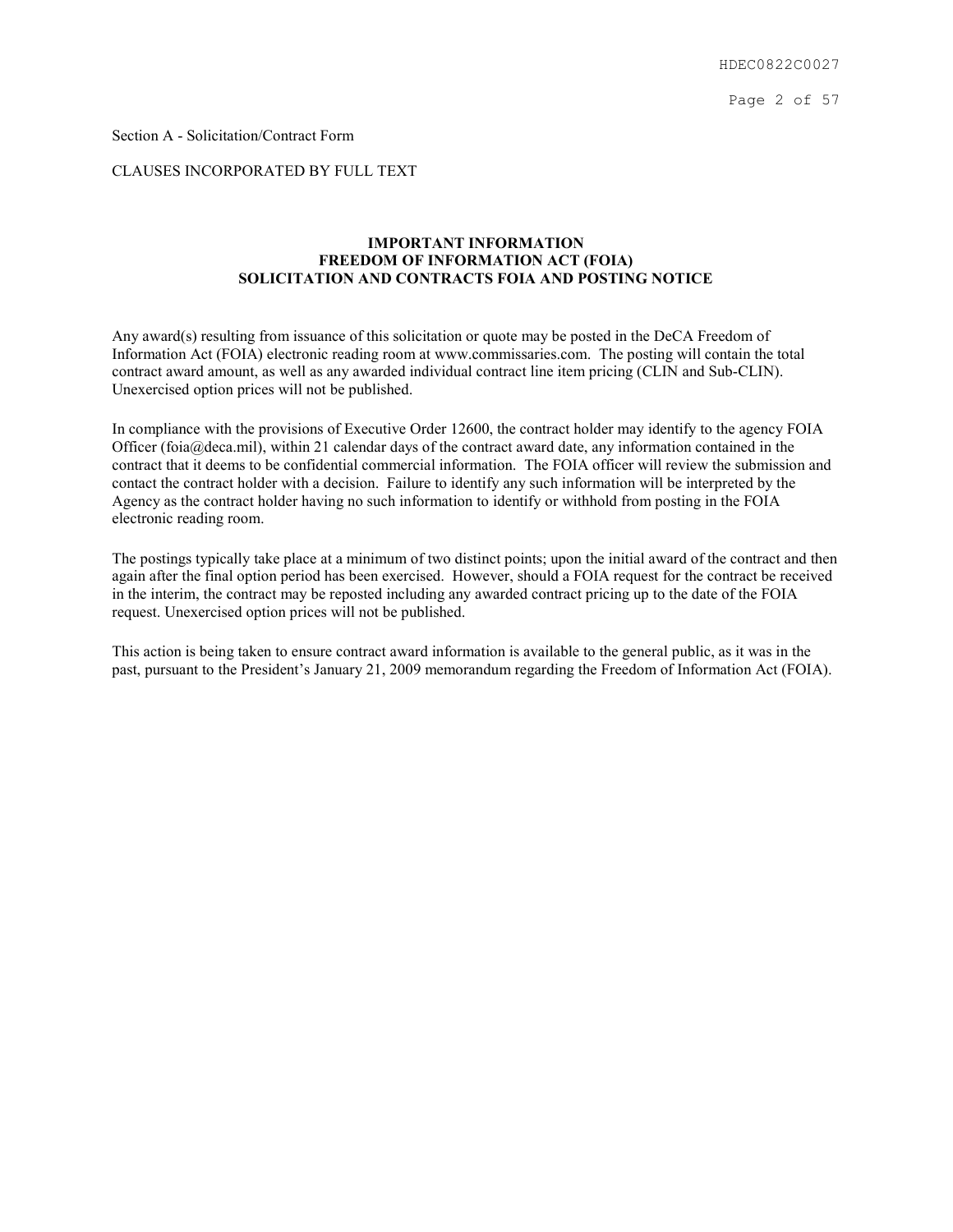Page 2 of 57

## Section A - Solicitation/Contract Form

## CLAUSES INCORPORATED BY FULL TEXT

## IMPORTANT INFORMATION FREEDOM OF INFORMATION ACT (FOIA) SOLICITATION AND CONTRACTS FOIA AND POSTING NOTICE

Any award(s) resulting from issuance of this solicitation or quote may be posted in the DeCA Freedom of Information Act (FOIA) electronic reading room at www.commissaries.com. The posting will contain the total contract award amount, as well as any awarded individual contract line item pricing (CLIN and Sub-CLIN). Unexercised option prices will not be published.

In compliance with the provisions of Executive Order 12600, the contract holder may identify to the agency FOIA Officer (foia@deca.mil), within 21 calendar days of the contract award date, any information contained in the contract that it deems to be confidential commercial information. The FOIA officer will review the submission and contact the contract holder with a decision. Failure to identify any such information will be interpreted by the Agency as the contract holder having no such information to identify or withhold from posting in the FOIA electronic reading room.

The postings typically take place at a minimum of two distinct points; upon the initial award of the contract and then again after the final option period has been exercised. However, should a FOIA request for the contract be received in the interim, the contract may be reposted including any awarded contract pricing up to the date of the FOIA request. Unexercised option prices will not be published.

This action is being taken to ensure contract award information is available to the general public, as it was in the past, pursuant to the President's January 21, 2009 memorandum regarding the Freedom of Information Act (FOIA).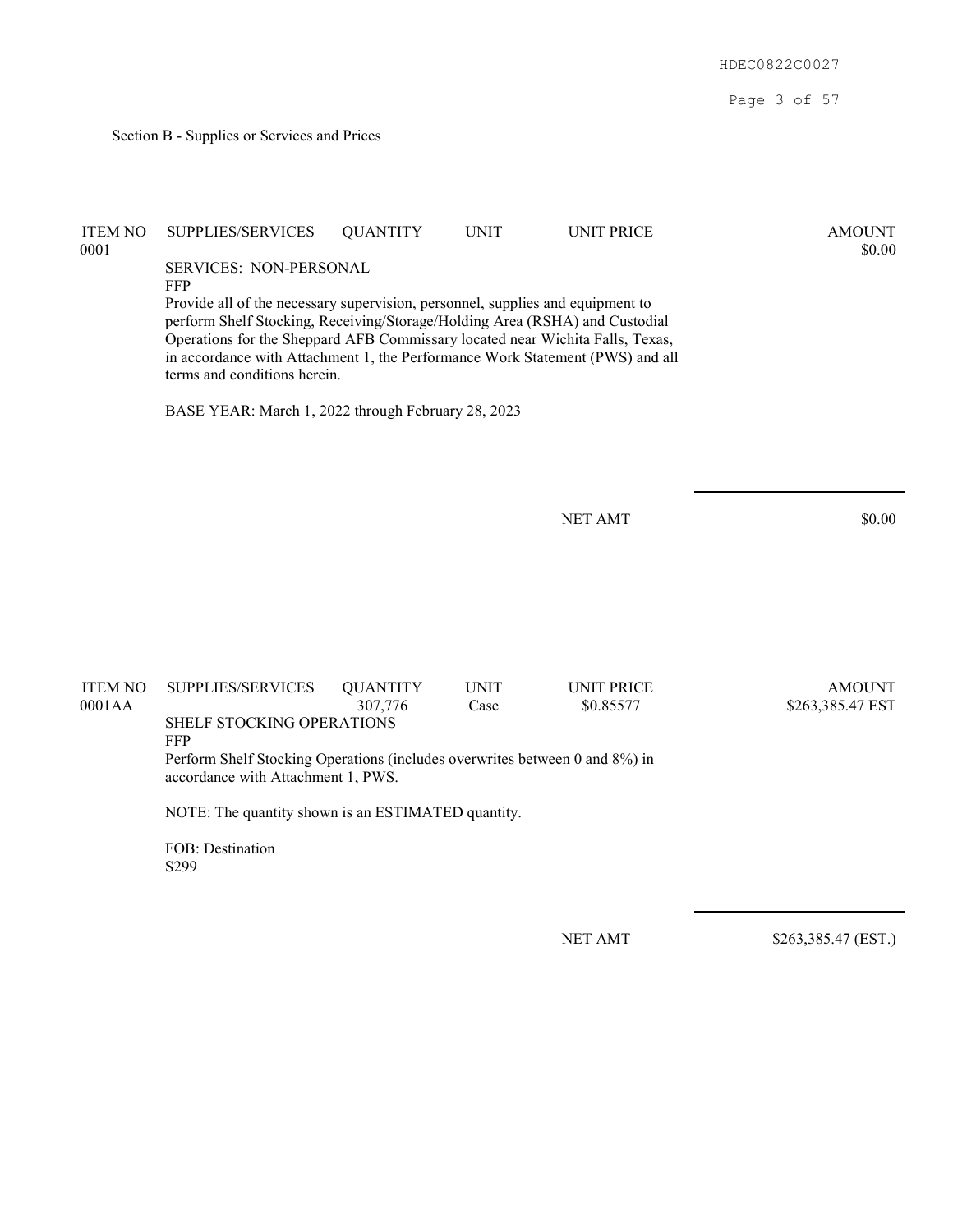HDEC0822C0027 Page 3 of 57 Section B - Supplies or Services and Prices ITEM NO SUPPLIES/SERVICES QUANTITY UNIT UNIT PRICE AMOUNT  $\text{0001}$  \$0.00 SERVICES: NON-PERSONAL FFP Provide all of the necessary supervision, personnel, supplies and equipment to perform Shelf Stocking, Receiving/Storage/Holding Area (RSHA) and Custodial Operations for the Sheppard AFB Commissary located near Wichita Falls, Texas, in accordance with Attachment 1, the Performance Work Statement (PWS) and all terms and conditions herein. BASE YEAR: March 1, 2022 through February 28, 2023 NET AMT \$0.00 ITEM NO SUPPLIES/SERVICES QUANTITY UNIT UNIT PRICE AMOUNT 0001AA 307,776 Case \$0.85577 \$263,385.47 EST SHELF STOCKING OPERATIONS FFP Perform Shelf Stocking Operations (includes overwrites between 0 and 8%) in accordance with Attachment 1, PWS. NOTE: The quantity shown is an ESTIMATED quantity. FOB: Destination S299

NET AMT \$263,385.47 (EST.)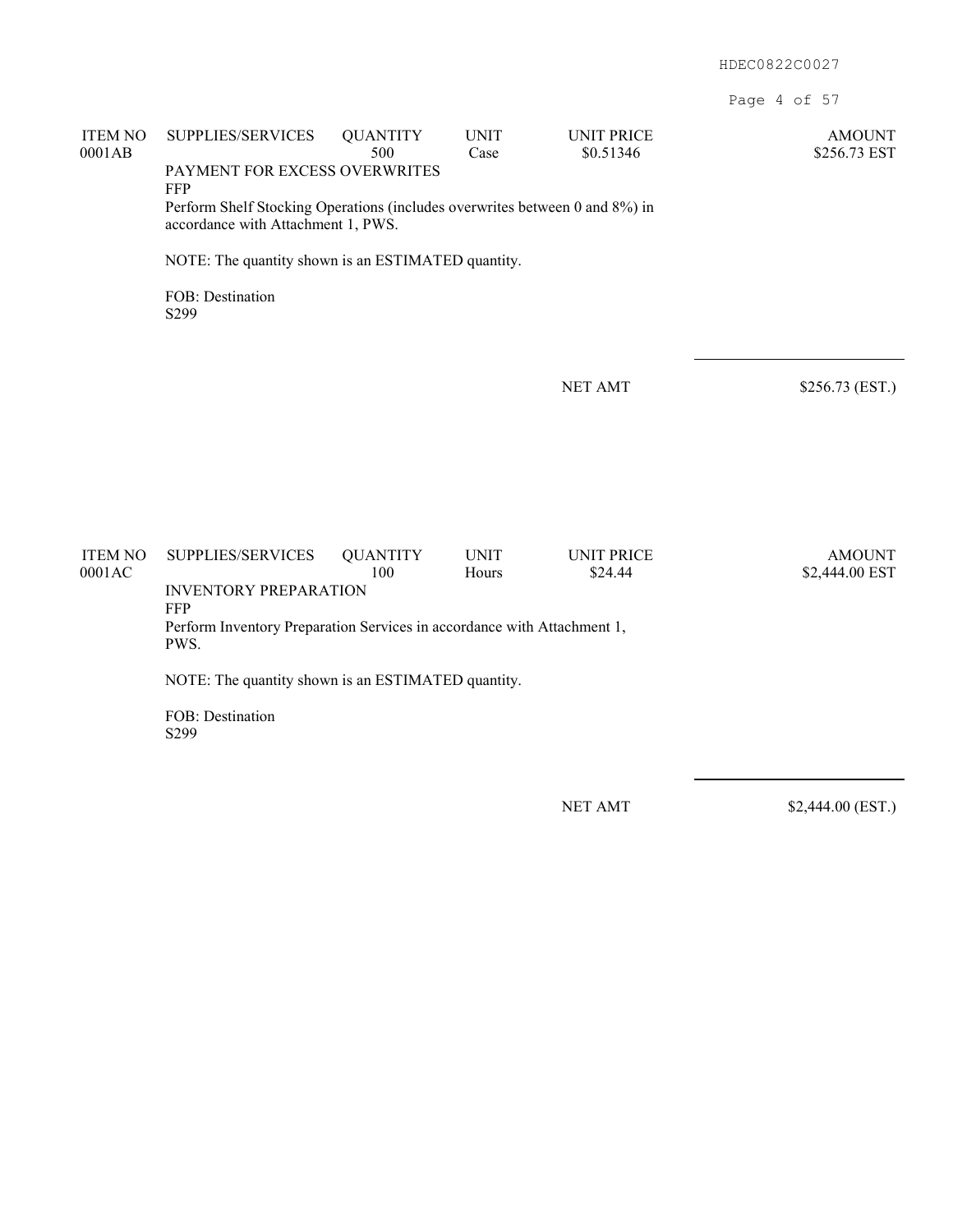Page 4 of 57

| <b>ITEM NO</b><br>0001AB | SUPPLIES/SERVICES<br>PAYMENT FOR EXCESS OVERWRITES                                                                       | <b>QUANTITY</b><br>500 | <b>UNIT</b><br>Case | <b>UNIT PRICE</b><br>\$0.51346 | <b>AMOUNT</b><br>\$256.73 EST |  |  |  |
|--------------------------|--------------------------------------------------------------------------------------------------------------------------|------------------------|---------------------|--------------------------------|-------------------------------|--|--|--|
|                          | FFP<br>Perform Shelf Stocking Operations (includes overwrites between 0 and 8%) in<br>accordance with Attachment 1, PWS. |                        |                     |                                |                               |  |  |  |
|                          | NOTE: The quantity shown is an ESTIMATED quantity.                                                                       |                        |                     |                                |                               |  |  |  |
|                          | FOB: Destination<br>S299                                                                                                 |                        |                     |                                |                               |  |  |  |
|                          |                                                                                                                          |                        |                     |                                |                               |  |  |  |
|                          |                                                                                                                          |                        |                     | <b>NET AMT</b>                 | \$256.73 (EST.)               |  |  |  |
|                          |                                                                                                                          |                        |                     |                                |                               |  |  |  |
|                          |                                                                                                                          |                        |                     |                                |                               |  |  |  |
|                          |                                                                                                                          |                        |                     |                                |                               |  |  |  |
| <b>ITEM NO</b>           | SUPPLIES/SERVICES                                                                                                        | <b>QUANTITY</b>        | <b>UNIT</b>         | <b>UNIT PRICE</b>              | <b>AMOUNT</b>                 |  |  |  |
| 0001AC                   | <b>INVENTORY PREPARATION</b>                                                                                             | 100                    | Hours               | \$24.44                        | \$2,444.00 EST                |  |  |  |
|                          | FFP<br>Perform Inventory Preparation Services in accordance with Attachment 1,<br>PWS.                                   |                        |                     |                                |                               |  |  |  |
|                          | NOTE: The quantity shown is an ESTIMATED quantity.                                                                       |                        |                     |                                |                               |  |  |  |
|                          | FOB: Destination<br>S299                                                                                                 |                        |                     |                                |                               |  |  |  |
|                          |                                                                                                                          |                        |                     |                                |                               |  |  |  |

NET AMT \$2,444.00 (EST.)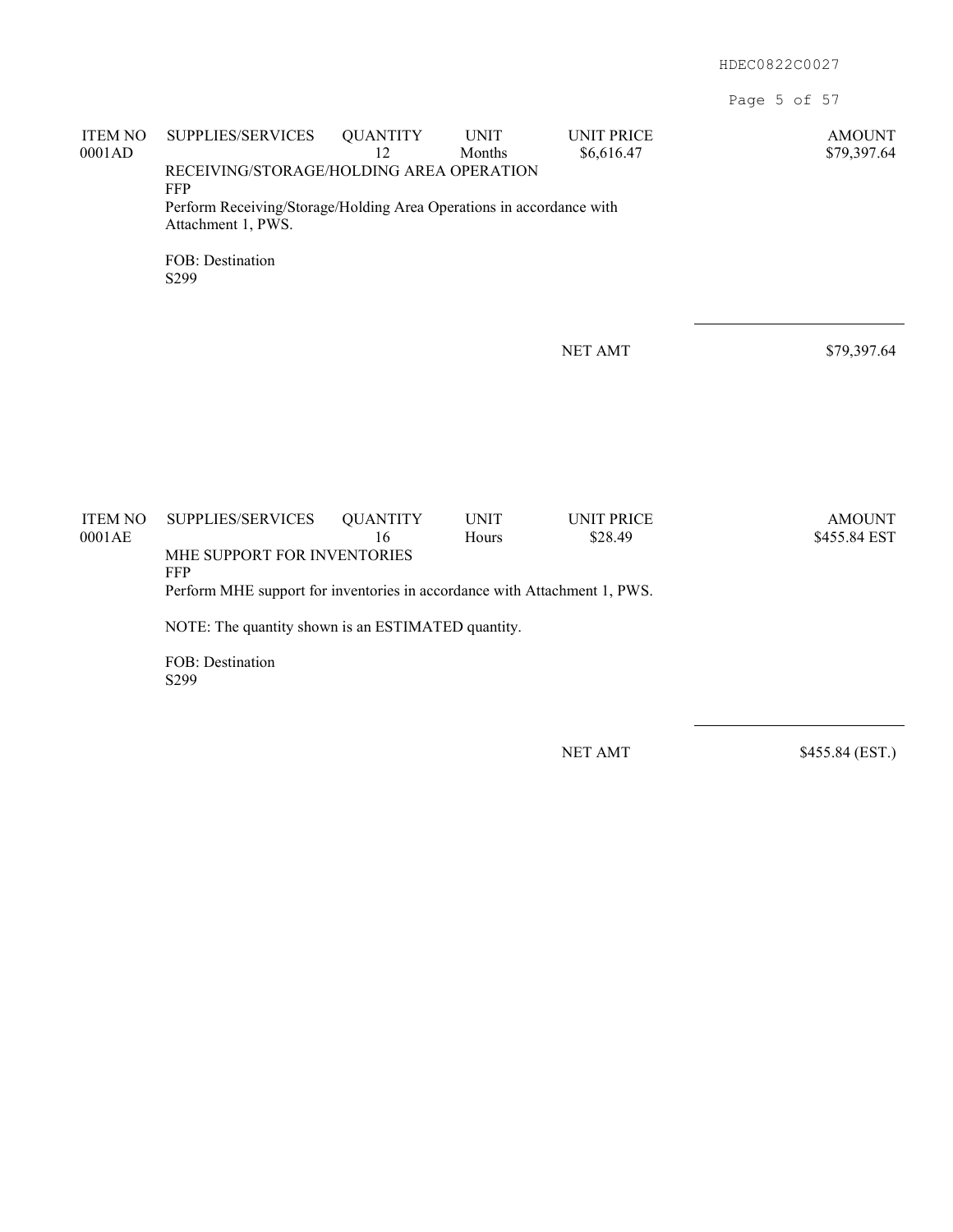Page 5 of 57

| <b>ITEM NO</b><br>0001AD | SUPPLIES/SERVICES<br>RECEIVING/STORAGE/HOLDING AREA OPERATION<br>FFP<br>Perform Receiving/Storage/Holding Area Operations in accordance with | <b>AMOUNT</b><br>\$79,397.64 |                      |                              |                               |  |  |  |
|--------------------------|----------------------------------------------------------------------------------------------------------------------------------------------|------------------------------|----------------------|------------------------------|-------------------------------|--|--|--|
|                          | Attachment 1, PWS.<br>FOB: Destination<br>S299                                                                                               |                              |                      |                              |                               |  |  |  |
|                          |                                                                                                                                              |                              |                      | <b>NET AMT</b>               | \$79,397.64                   |  |  |  |
|                          |                                                                                                                                              |                              |                      |                              |                               |  |  |  |
| <b>ITEM NO</b><br>0001AE | SUPPLIES/SERVICES<br>MHE SUPPORT FOR INVENTORIES<br><b>FFP</b><br>Perform MHE support for inventories in accordance with Attachment 1, PWS.  | <b>QUANTITY</b><br>16        | <b>UNIT</b><br>Hours | <b>UNIT PRICE</b><br>\$28.49 | <b>AMOUNT</b><br>\$455.84 EST |  |  |  |
|                          | NOTE: The quantity shown is an ESTIMATED quantity.                                                                                           |                              |                      |                              |                               |  |  |  |
|                          | FOB: Destination<br>S299                                                                                                                     |                              |                      |                              |                               |  |  |  |

NET AMT \$455.84 (EST.)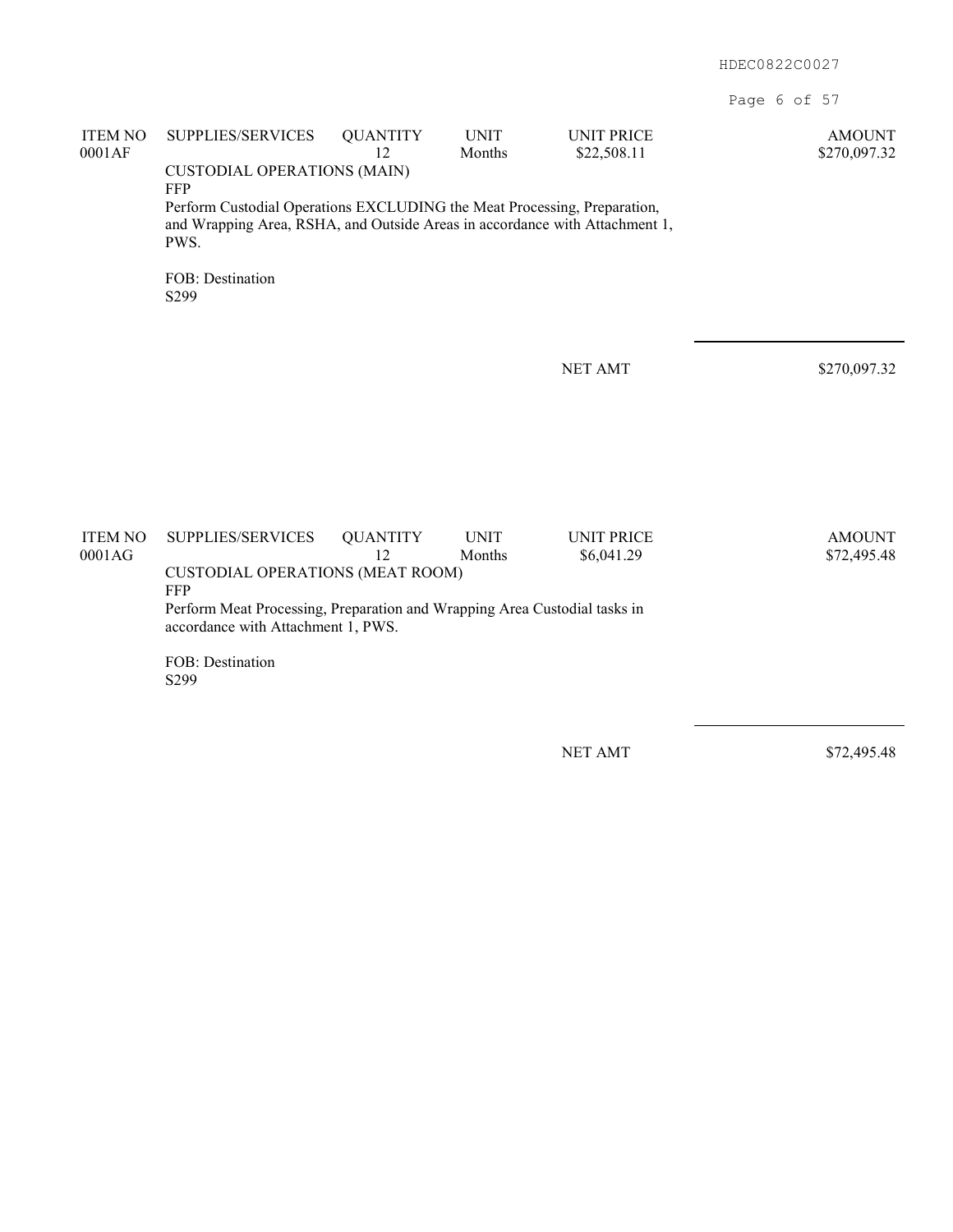Page 6 of 57

| <b>ITEM NO</b><br>0001AF | SUPPLIES/SERVICES                                                                                                                                                                                                   | <b>QUANTITY</b><br>12 | <b>UNIT</b><br>Months | <b>UNIT PRICE</b><br>\$22,508.11 | <b>AMOUNT</b><br>\$270,097.32 |  |  |  |                          |
|--------------------------|---------------------------------------------------------------------------------------------------------------------------------------------------------------------------------------------------------------------|-----------------------|-----------------------|----------------------------------|-------------------------------|--|--|--|--------------------------|
|                          | <b>CUSTODIAL OPERATIONS (MAIN)</b><br><b>FFP</b><br>Perform Custodial Operations EXCLUDING the Meat Processing, Preparation,<br>and Wrapping Area, RSHA, and Outside Areas in accordance with Attachment 1,<br>PWS. |                       |                       |                                  |                               |  |  |  |                          |
|                          |                                                                                                                                                                                                                     |                       |                       |                                  |                               |  |  |  | FOB: Destination<br>S299 |
|                          |                                                                                                                                                                                                                     |                       |                       |                                  |                               |  |  |  |                          |
|                          |                                                                                                                                                                                                                     |                       |                       | <b>NET AMT</b>                   | \$270,097.32                  |  |  |  |                          |
|                          |                                                                                                                                                                                                                     |                       |                       |                                  |                               |  |  |  |                          |
|                          |                                                                                                                                                                                                                     |                       |                       |                                  |                               |  |  |  |                          |
|                          |                                                                                                                                                                                                                     |                       |                       |                                  |                               |  |  |  |                          |
| <b>ITEM NO</b>           | SUPPLIES/SERVICES                                                                                                                                                                                                   | <b>QUANTITY</b>       | <b>UNIT</b>           | <b>UNIT PRICE</b>                | <b>AMOUNT</b>                 |  |  |  |                          |
| 0001AG                   | 12<br>Months<br>\$6,041.29<br>\$72,495.48<br><b>CUSTODIAL OPERATIONS (MEAT ROOM)</b><br><b>FFP</b>                                                                                                                  |                       |                       |                                  |                               |  |  |  |                          |
|                          | Perform Meat Processing, Preparation and Wrapping Area Custodial tasks in<br>accordance with Attachment 1, PWS.                                                                                                     |                       |                       |                                  |                               |  |  |  |                          |
|                          | FOB: Destination<br>S299                                                                                                                                                                                            |                       |                       |                                  |                               |  |  |  |                          |
|                          |                                                                                                                                                                                                                     |                       |                       |                                  |                               |  |  |  |                          |

NET AMT \$72,495.48